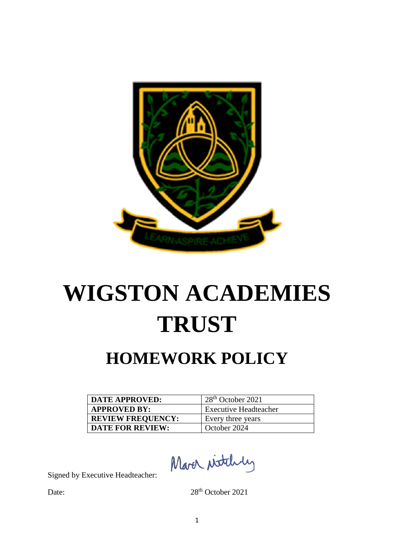

# **WIGSTON ACADEMIES TRUST**

# **HOMEWORK POLICY**

| DATE APPROVED:           | $128th$ October 2021         |
|--------------------------|------------------------------|
| <b>APPROVED BY:</b>      | <b>Executive Headteacher</b> |
| <b>REVIEW FREQUENCY:</b> | Every three years            |
| <b>DATE FOR REVIEW:</b>  | October 2024                 |

March Nitthly

Signed by Executive Headteacher:

Date: 28<sup>th</sup> October 2021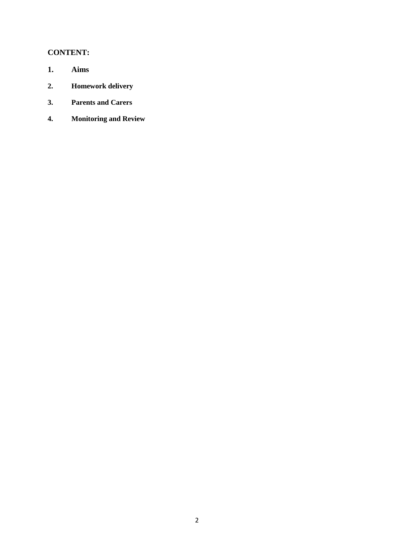# **CONTENT:**

- **1. Aims**
- **2. Homework delivery**
- **3. Parents and Carers**
- **4. Monitoring and Review**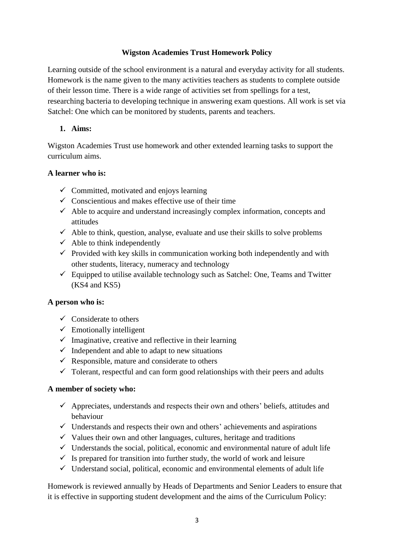# **Wigston Academies Trust Homework Policy**

Learning outside of the school environment is a natural and everyday activity for all students. Homework is the name given to the many activities teachers as students to complete outside of their lesson time. There is a wide range of activities set from spellings for a test, researching bacteria to developing technique in answering exam questions. All work is set via Satchel: One which can be monitored by students, parents and teachers.

# **1. Aims:**

Wigston Academies Trust use homework and other extended learning tasks to support the curriculum aims.

# **A learner who is:**

- $\checkmark$  Committed, motivated and enjoys learning
- $\checkmark$  Conscientious and makes effective use of their time
- $\checkmark$  Able to acquire and understand increasingly complex information, concepts and attitudes
- $\checkmark$  Able to think, question, analyse, evaluate and use their skills to solve problems
- $\checkmark$  Able to think independently
- $\checkmark$  Provided with key skills in communication working both independently and with other students, literacy, numeracy and technology
- $\checkmark$  Equipped to utilise available technology such as Satchel: One, Teams and Twitter (KS4 and KS5)

#### **A person who is:**

- $\checkmark$  Considerate to others
- $\checkmark$  Emotionally intelligent
- $\checkmark$  Imaginative, creative and reflective in their learning
- $\checkmark$  Independent and able to adapt to new situations
- $\checkmark$  Responsible, mature and considerate to others
- $\checkmark$  Tolerant, respectful and can form good relationships with their peers and adults

#### **A member of society who:**

- $\checkmark$  Appreciates, understands and respects their own and others' beliefs, attitudes and behaviour
- $\checkmark$  Understands and respects their own and others' achievements and aspirations
- $\checkmark$  Values their own and other languages, cultures, heritage and traditions
- $\checkmark$  Understands the social, political, economic and environmental nature of adult life
- $\checkmark$  Is prepared for transition into further study, the world of work and leisure
- $\checkmark$  Understand social, political, economic and environmental elements of adult life

Homework is reviewed annually by Heads of Departments and Senior Leaders to ensure that it is effective in supporting student development and the aims of the Curriculum Policy: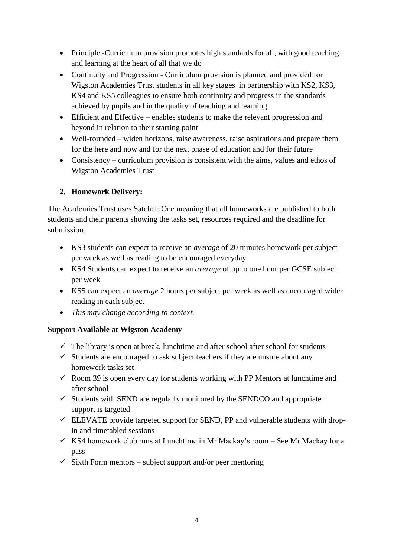- Principle -Curriculum provision promotes high standards for all, with good teaching and learning at the heart of all that we do
- Continuity and Progression Curriculum provision is planned and provided for Wigston Academies Trust students in all key stages in partnership with KS2, KS3, KS4 and KS5 colleagues to ensure both continuity and progress in the standards achieved by pupils and in the quality of teaching and learning
- Efficient and Effective enables students to make the relevant progression and beyond in relation to their starting point
- Well-rounded widen horizons, raise awareness, raise aspirations and prepare them for the here and now and for the next phase of education and for their future
- Consistency curriculum provision is consistent with the aims, values and ethos of Wigston Academies Trust

# **2. Homework Delivery:**

The Academies Trust uses Satchel: One meaning that all homeworks are published to both students and their parents showing the tasks set, resources required and the deadline for submission.

- KS3 students can expect to receive an *average* of 20 minutes homework per subject per week as well as reading to be encouraged everyday
- KS4 Students can expect to receive an *average* of up to one hour per GCSE subject per week
- KS5 can expect an *average* 2 hours per subject per week as well as encouraged wider reading in each subject
- *This may change according to context.*

# **Support Available at Wigston Academy**

- $\checkmark$  The library is open at break, lunchtime and after school after school for students
- $\checkmark$  Students are encouraged to ask subject teachers if they are unsure about any homework tasks set
- $\checkmark$  Room 39 is open every day for students working with PP Mentors at lunchtime and after school
- $\checkmark$  Students with SEND are regularly monitored by the SENDCO and appropriate support is targeted
- $\checkmark$  ELEVATE provide targeted support for SEND, PP and vulnerable students with dropin and timetabled sessions
- $\checkmark$  KS4 homework club runs at Lunchtime in Mr Mackay's room See Mr Mackay for a pass
- $\checkmark$  Sixth Form mentors subject support and/or peer mentoring